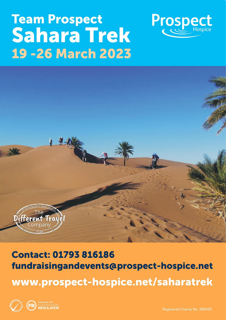# **Team Prospect Sahara Trek 19 - 26 March 2023**





## **Contact: 01793 816186** fundraisingandevents@prospect-hospice.net www.prospect-hospice.net/saharatrek



Registered Charity No. 280093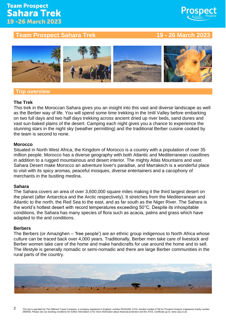### **Team Prospect Sahara Trek** 19 - 26 March 2023

#### **Team Prospect Sahara Trek 19 - 26 March 2023**

**Prospect** 



#### **Trip overview**

#### **The Trek**

This trek in the Moroccan Sahara gives you an insight into this vast and diverse landscape as well as the Berber way of life. You will spend some time trekking in the Imlil Valley before embarking on two full days and two half days trekking across ancient dried up river beds, sand dunes and vast sun-baked plains of the desert. Camping each night gives you a chance to experience the stunning stars in the night sky (weather permitting) and the traditional Berber cuisine cooked by the team is second to none.

#### **Morocco**

Situated in North West Africa, the Kingdom of Morocco is a country with a population of over 35 million people. Morocco has a diverse geography with both Atlantic and Mediterranean coastlines in addition to a rugged mountainous and desert interior. The mighty Atlas Mountains and vast Sahara Desert make Morocco an adventure lover's paradise, and Marrakech is a wonderful place to visit with its spicy aromas, peaceful mosques, diverse entertainers and a cacophony of merchants in the bustling medina.

#### **Sahara**

The Sahara covers an area of over 3,600,000 square miles making it the third largest desert on the planet (after Antarctica and the Arctic respectively). It stretches from the Mediterranean and Atlantic to the north, the Red Sea to the east, and as far south as the Niger River. The Sahara is the world's hottest desert with record temperatures exceeding 50°C. Despite its inhospitable conditions, the Sahara has many species of flora such as acacia, palms and grass which have adapted to the arid conditions.

#### **Berbers**

The Berbers (or Amazighen – 'free people') are an ethnic group indigenous to North Africa whose culture can be traced back over 4,000 years. Traditionally, Berber men take care of livestock and Berber women take care of the home and make handicrafts for use around the home and to sell. The lifestyle is generally nomadic or semi-nomadic and there are large Berber communities in the rural parts of the country.

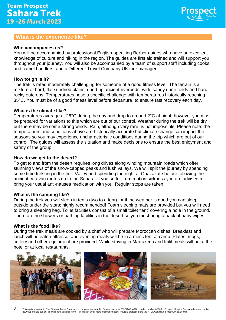

#### **What is the experience like?**

#### **Who accompanies us?**

You will be accompanied by professional English-speaking Berber guides who have an excellent knowledge of culture and hiking in the region. The guides are first aid trained and will support you throughout your journey. You will also be accompanied by a team of support staff including cooks and camel handlers, and a Different Travel Company UK tour manager.

#### **How tough is it?**

The trek is rated moderately challenging for someone of a good fitness level. The terrain is a mixture of hard, flat sundried plains, dried up ancient riverbeds, wide sandy dune fields and hard rocky outcrops. Temperatures pose a specific challenge with temperatures historically reaching 35°C. You must be of a good fitness level before departure, to ensure fast recovery each day.

#### **What is the climate like?**

Temperatures average at 26°C during the day and drop to around 2°C at night, however you must be prepared for variations to this which are out of our control. Weather during the trek will be dry but there may be some strong winds. Rain, although very rare, is not impossible. Please note: the temperatures and conditions above are historically accurate but climate change can impact the seasons so you may experience uncharacteristic conditions during the trip which are out of our control. The guides will assess the situation and make decisions to ensure the best enjoyment and safety of the group.

#### **How do we get to the desert?**

To get to and from the desert requires long drives along winding mountain roads which offer stunning views of the snow-capped peaks and lush valleys. We will split the journey by spending some time trekking in the Imlil Valley and spending the night at Ouazazate before following the ancient caravan routes on to the Sahara. If you suffer from motion sickness you are advised to bring your usual anti-nausea medication with you. Regular stops are taken.

#### **What is the camping like?**

During the trek you will sleep in tents (two to a tent), or if the weather is good you can sleep outside under the stars; highly recommended! Foam sleeping mats are provided but you will need to bring a sleeping bag. Toilet facilities consist of a small toilet 'tent' covering a hole in the ground. There are no showers or bathing facilities in the desert so you must bring a pack of baby wipes.

#### **What is the food like?**

During the trek meals are cooked by a chef who will prepare Moroccan dishes. Breakfast and lunch will be eaten alfresco, and evening meals will be in a mess tent at camp. Plates, mugs, cutlery and other equipment are provided. While staying in Marrakech and Imlil meals will be at the hotel or at local restaurants.

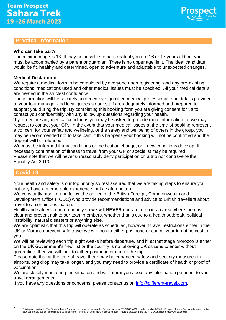#### **Practical information**

#### **Who can take part?**

The minimum age is 18. It may be possible to participate if you are 16 or 17 years old but you must be accompanied by a parent or guardian. There is no upper age limit. The ideal candidate would be fit, healthy and determined, open to adventure and adaptable to unexpected changes.

Prospe

#### **Medical Declaration**

We require a medical form to be completed by everyone upon registering, and any pre-existing conditions, medications used and other medical issues must be specified. All your medical details are treated in the strictest confidence.

The information will be securely screened by a qualified medical professional, and details provided to your tour manager and local guides so our staff are adequately informed and prepared to support you during the trip. By completing this booking form you are giving consent for us to contact you confidentially with any follow up questions regarding your health.

If you declare any medical conditions you may be asked to provide more information, or we may request to contact your GP. In the event that your medical issues at the time of booking represent a concern for your safety and wellbeing, or the safety and wellbeing of others in the group, you may be recommended not to take part. If this happens your booking will not be confirmed and the deposit will be refunded.

We must be informed if any conditions or medication change, or if new conditions develop. If necessary confirmation of fitness to travel from your GP or specialist may be required. Please note that we will never unreasonably deny participation on a trip nor contravene the Equality Act 2010.

#### **Covid-19**

Your health and safety is our top priority so rest assured that we are taking steps to ensure you not only have a memorable experience, but a safe one too.

We constantly monitor and follow the advice of the British Foreign, Commonwealth and Development Office (FCDO) who provide recommendations and advice to British travellers about travel to a certain destination.

Health and safety is our top priority so we will **NEVER** operate a trip in an area where there is clear and present risk to our team members, whether that is due to a health outbreak, political instability, natural disasters or anything else.

We are optimistic that this trip will operate as scheduled, however if travel restrictions either in the UK or Morocco prevent safe travel we will look to either postpone or cancel your trip at no cost to you.

We will be reviewing each trip eight weeks before departure, and if, at that stage Morocco is either on the UK Government's 'red' list or the country is not allowing UK citizens to enter without quarantine, then we will look to either postpone or cancel the trip.

Please note that at the time of travel there may be enhanced safety and security measures in airports, bag drop may take longer, and you may need to provide a certificate of health or proof of vaccination.

We are closely monitoring the situation and will inform you about any information pertinent to your travel arrangements.

If you have any questions or concerns, please contact us on [info@different-travel.com.](mailto:info@different-travel.com)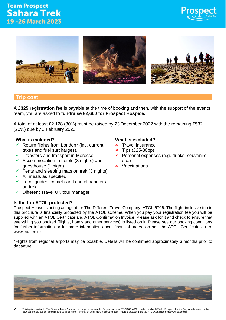#### **Team Prospect Sahara Trek** 19 - 26 March 2023





#### **Trip cost**

**A £325 registration fee** is payable at the time of booking and then, with the support of the events team, you are asked to **fundraise £2,600 for Prospect Hospice.** 

A total of at least £2,128 (80%) must be raised by 23 December 2022 with the remaining £532 (20%) due by 3 February 2023.

- Return flights from London\* (inc. current taxes and fuel surcharges),
- $\checkmark$  Transfers and transport in Morocco
- $\checkmark$  Accommodation in hotels (3 nights) and guesthouse (1 night)
- $\checkmark$  Tents and sleeping mats on trek (3 nights)
- $\checkmark$  All meals as specified
- $\checkmark$  Local guides, camels and camel handlers on trek
- ✓ Different Travel UK tour manager

#### **Is the trip ATOL protected?**

#### Prospect House is acting as agent for The Different Travel Company, ATOL 6706. The flight-inclusive trip in this brochure is financially protected by the ATOL scheme. When you pay your registration fee you will be supplied with an ATOL Certificate and ATOL Confirmation Invoice. Please ask for it and check to ensure that everything you booked (flights, hotels and other services) is listed on it. Please see our booking conditions for further information or for more information about financial protection and the ATOL Certificate go to: [www.caa.co.uk.](http://www.caa.co.uk/)

\*Flights from regional airports may be possible. Details will be confirmed approximately 6 months prior to departure.

#### **What is included? What is excluded?**

- **\*** Travel insurance
- $\star$  Tips (£25-30pp)
- **\*** Personal expenses (e.g. drinks, souvenirs etc.)
- **x** Vaccinations



5 This trip is operated by The Different Travel Company, a company registered in England, number 05324268, ATOL bonded number 6706 for Prospect Hospice (registered charity number 280093). Please see our booking conditions for further information or for more information about financial protection and the ATOL Certificate go to: www.caa.co.uk.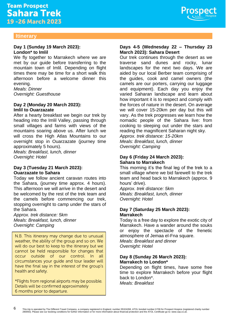

#### **Itinerary**

#### **Day 1 (Sunday 19 March 2023): London\* to Imlil**

We fly together to Marrakech where we are met by our guide before transferring to the mountain town of Imlil. Depending on flight times there may be time for a short walk this afternoon before a welcome dinner this evening.

*Meals: Dinner Overnight: Guesthouse*

#### **Day 2 (Monday 20 March 2023): Imlil to Ouarzazate**

After a hearty breakfast we begin our trek by heading into the Imlil Valley, passing through small villages and farms with views of the mountains soaring above us. After lunch we will cross the High Atlas Mountains to our overnight stop in Ouarzazate (journey time approximately 5 hours).

*Meals: Breakfast, lunch, dinner Overnight: Hotel*

#### **Day 3 (Tuesday 21 March 2023): Ouarzazate to Sahara**

Today we follow ancient caravan routes into the Sahara, (journey time approx. 4 hours). This afternoon we will arrive in the desert and be welcomed by the rest of the trek team and the camels before commencing our trek, stopping overnight to camp under the stars of the Sahara.

*Approx. trek distance: 5km Meals: Breakfast, lunch, dinner Overnight: Camping*

N.B. This itinerary may change due to unusual weather, the ability of the group and so on. We will do our best to keep to the itinerary but we cannot be held responsible for changes that occur outside of our control.  $\ln$  all circumstances your quide and tour leader will have the final say in the interest of the group's health and safety.

\*Flights from regional airports may be possible. Details will be confirmed approximately 6 months prior to departure.

#### **Days 4-5 (Wednesday 22 – Thursday 23 March 2023): Sahara Desert**

Our trek continues through the desert as we traverse sand dunes and rocky, lunar landscapes for the next two days. We are aided by our local Berber team comprising of the guides, cook and camel owners (the camels are our porters, carrying our luggage and equipment). Each day you enjoy the varied Saharan landscape and learn about how important it is to respect and comply with the forces of nature in the desert. On average we will cover 15-20km per day but this will vary. As the trek progresses we learn how the nomadic people of the Sahara live: from cooking to sleeping out under the stars and reading the magnificent Saharan night sky.

*Approx. trek distance: 15-20km Meals: Breakfast, lunch, dinner Overnight: Camping*

#### **Day 6 (Friday 24 March 2023): Sahara to Marrakech**

This morning it's the final leg of the trek to a small village where we bid farewell to the trek team and head back to Marrakech (approx. 9 hours' drive).

*Approx. trek distance: 5km Meals: Breakfast, lunch, dinner Overnight: Hotel*

#### **Day 7 (Saturday 25 March 2023): Marrakech**

Today is a free day to explore the exotic city of Marrakech. Have a wander around the souks or enjoy the spectacle of the frenetic atmosphere of Jemaa el-Fna square. *Meals: Breakfast and dinner Overnight: Hotel*

#### **Day 8 (Sunday 26 March 2023): Marrakech to London\***

Depending on flight times, have some free time to explore Marrakech before your flight back to London\*.

*Meals: Breakfast*